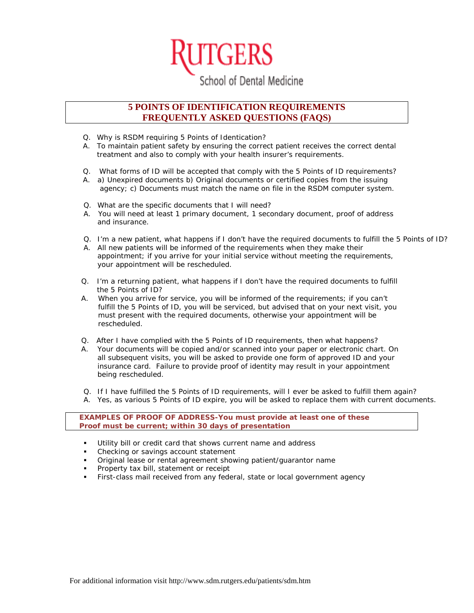

## **5 POINTS OF IDENTIFICATION REQUIREMENTS FREQUENTLY ASKED QUESTIONS (FAQS)**

- Q. Why is RSDM requiring 5 Points of Identication?
- A. To maintain patient safety by ensuring the correct patient receives the correct dental treatment and also to comply with your health insurer's requirements.
- Q. What forms of ID will be accepted that comply with the 5 Points of ID requirements?
- A. a) Unexpired documents b) Original documents or certified copies from the issuing agency; c) Documents must match the name on file in the RSDM computer system.
- Q. What are the specific documents that I will need?
- A. You will need at least 1 primary document, 1 secondary document, proof of address and insurance.
- Q. I'm a new patient, what happens if I don't have the required documents to fulfill the 5 Points of ID?
- A. All new patients will be informed of the requirements when they make their appointment; if you arrive for your initial service without meeting the requirements, your appointment will be rescheduled.
- Q. I'm a returning patient, what happens if I don't have the required documents to fulfill the 5 Points of ID?
- A. When you arrive for service, you will be informed of the requirements; if you can't fulfill the 5 Points of ID, you will be serviced, but advised that on your next visit, you must present with the required documents, otherwise your appointment will be rescheduled.
- Q. After I have complied with the 5 Points of ID requirements, then what happens?
- A. Your documents will be copied and/or scanned into your paper or electronic chart. On all subsequent visits, you will be asked to provide one form of approved ID and your insurance card. Failure to provide proof of identity may result in your appointment being rescheduled.
- Q. If I have fulfilled the 5 Points of ID requirements, will I ever be asked to fulfill them again?
- A. Yes, as various 5 Points of ID expire, you will be asked to replace them with current documents.

 **EXAMPLES OF PROOF OF ADDRESS-You must provide at least one of these Proof must be current; within 30 days of presentation**

- Utility bill or credit card that shows current name and address
- Checking or savings account statement
- Original lease or rental agreement showing patient/guarantor name
- Property tax bill, statement or receipt
- First-class mail received from any federal, state or local government agency